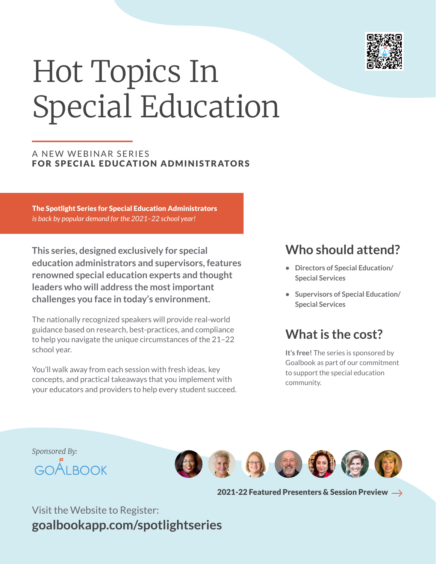

# Hot Topics In Special Education

#### A NEW WEBINAR SERIES FOR SPECIAL EDUCATION ADMINISTRATORS

The Spotlight Series for Special Education Administrators *is back by popular demand for the 2021–22 school year!*

**This series, designed exclusively for special education administrators and supervisors, features renowned special education experts and thought leaders who will address the most important challenges you face in today's environment.**

The nationally recognized speakers will provide real-world guidance based on research, best-practices, and compliance to help you navigate the unique circumstances of the 21–22 school year.

You'll walk away from each session with fresh ideas, key concepts, and practical takeaways that you implement with your educators and providers to help every student succeed.

## **Who should attend?**

- **• Directors of Special Education/ Special Services**
- **• Supervisors of Special Education/ Special Services**

## **What is the cost?**

**It's free!** The series is sponsored by Goalbook as part of our commitment to support the special education community.



2021-22 Featured Presenters & Session Preview  $\rightarrow$ 

Visit the Website to Register: **goalbookapp.com/spotlightseries**